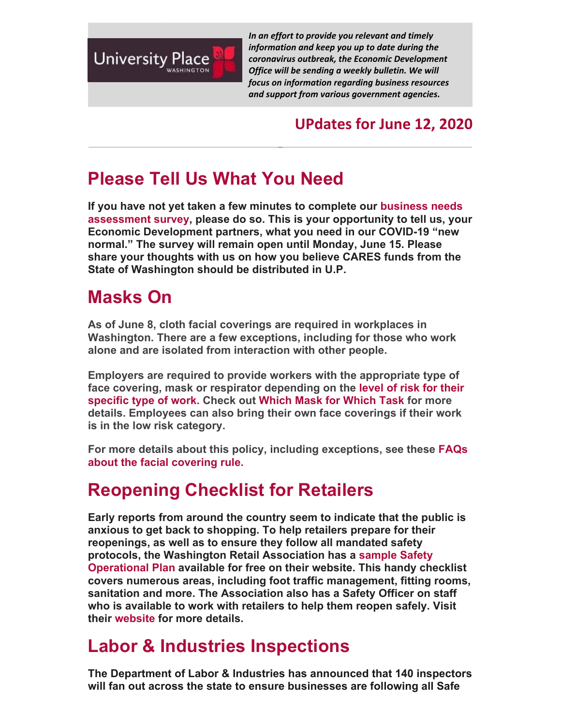

*In an effort to provide you relevant and timely information and keep you up to date during the coronavirus outbreak, the Economic Development Office will be sending a weekly bulletin. We will focus on information regarding business resources and support from various government agencies.*

#### **UPdates for June 12, 2020**

# **Please Tell Us What You Need**

**If you have not yet taken a few minutes to complete our business needs assessment survey, please do so. This is your opportunity to tell us, your Economic Development partners, what you need in our COVID-19 "new normal." The survey will remain open until Monday, June 15. Please share your thoughts with us on how you believe CARES funds from the State of Washington should be distributed in U.P.** 

## **Masks On**

**As of June 8, cloth facial coverings are required in workplaces in Washington. There are a few exceptions, including for those who work alone and are isolated from interaction with other people.** 

**Employers are required to provide workers with the appropriate type of face covering, mask or respirator depending on the level of risk for their specific type of work. Check out Which Mask for Which Task for more details. Employees can also bring their own face coverings if their work is in the low risk category.** 

**For more details about this policy, including exceptions, see these FAQs about the facial covering rule.**

# **Reopening Checklist for Retailers**

**Early reports from around the country seem to indicate that the public is anxious to get back to shopping. To help retailers prepare for their reopenings, as well as to ensure they follow all mandated safety protocols, the Washington Retail Association has a sample Safety Operational Plan available for free on their website. This handy checklist covers numerous areas, including foot traffic management, fitting rooms, sanitation and more. The Association also has a Safety Officer on staff who is available to work with retailers to help them reopen safely. Visit their website for more details.** 

### **Labor & Industries Inspections**

**The Department of Labor & Industries has announced that 140 inspectors will fan out across the state to ensure businesses are following all Safe**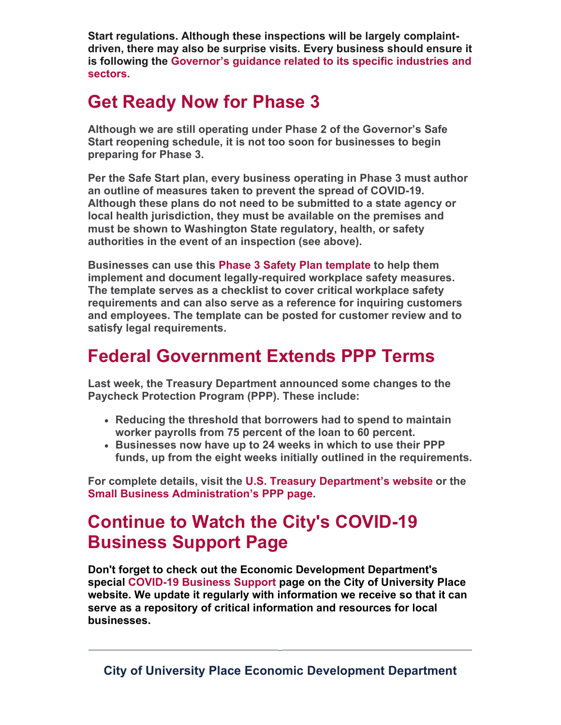**Start regulations. Although these inspections will be largely complaintdriven, there may also be surprise visits. Every business should ensure it is following the Governor's guidance related to its specific industries and sectors.** 

### **Get Ready Now for Phase 3**

**Although we are still operating under Phase 2 of the Governor's Safe Start reopening schedule, it is not too soon for businesses to begin preparing for Phase 3.** 

**Per the Safe Start plan, every business operating in Phase 3 must author an outline of measures taken to prevent the spread of COVID-19. Although these plans do not need to be submitted to a state agency or local health jurisdiction, they must be available on the premises and must be shown to Washington State regulatory, health, or safety authorities in the event of an inspection (see above).** 

**Businesses can use this Phase 3 Safety Plan template to help them implement and document legally-required workplace safety measures. The template serves as a checklist to cover critical workplace safety requirements and can also serve as a reference for inquiring customers and employees. The template can be posted for customer review and to satisfy legal requirements.**

### **Federal Government Extends PPP Terms**

**Last week, the Treasury Department announced some changes to the Paycheck Protection Program (PPP). These include:**

- **Reducing the threshold that borrowers had to spend to maintain worker payrolls from 75 percent of the loan to 60 percent.**
- **Businesses now have up to 24 weeks in which to use their PPP funds, up from the eight weeks initially outlined in the requirements.**

**For complete details, visit the U.S. Treasury Department's website or the Small Business Administration's PPP page.** 

## **Continue to Watch the City's COVID-19 Business Support Page**

**Don't forget to check out the Economic Development Department's special COVID-19 Business Support page on the City of University Place website. We update it regularly with information we receive so that it can serve as a repository of critical information and resources for local businesses.**